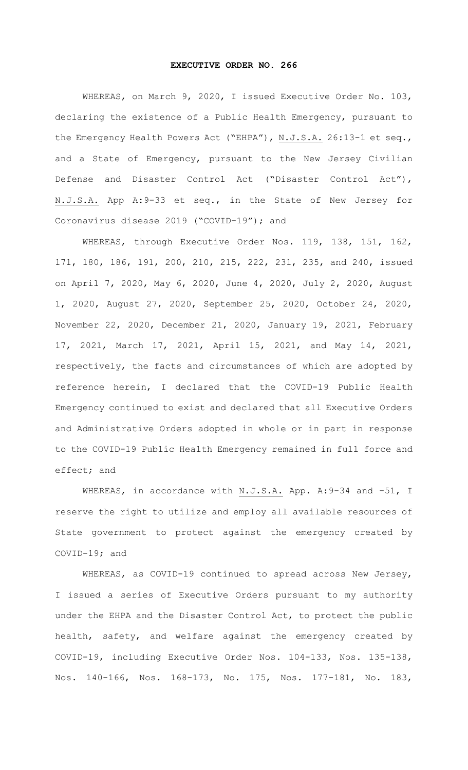## **EXECUTIVE ORDER NO. 266**

WHEREAS, on March 9, 2020, I issued Executive Order No. 103, declaring the existence of a Public Health Emergency, pursuant to the Emergency Health Powers Act ("EHPA"), N.J.S.A. 26:13-1 et seq., and a State of Emergency, pursuant to the New Jersey Civilian Defense and Disaster Control Act ("Disaster Control Act"), N.J.S.A. App A:9-33 et seq., in the State of New Jersey for Coronavirus disease 2019 ("COVID-19"); and

WHEREAS, through Executive Order Nos. 119, 138, 151, 162, 171, 180, 186, 191, 200, 210, 215, 222, 231, 235, and 240, issued on April 7, 2020, May 6, 2020, June 4, 2020, July 2, 2020, August 1, 2020, August 27, 2020, September 25, 2020, October 24, 2020, November 22, 2020, December 21, 2020, January 19, 2021, February 17, 2021, March 17, 2021, April 15, 2021, and May 14, 2021, respectively, the facts and circumstances of which are adopted by reference herein, I declared that the COVID-19 Public Health Emergency continued to exist and declared that all Executive Orders and Administrative Orders adopted in whole or in part in response to the COVID-19 Public Health Emergency remained in full force and effect; and

WHEREAS, in accordance with N.J.S.A. App. A: 9-34 and -51, I reserve the right to utilize and employ all available resources of State government to protect against the emergency created by COVID-19; and

WHEREAS, as COVID-19 continued to spread across New Jersey, I issued a series of Executive Orders pursuant to my authority under the EHPA and the Disaster Control Act, to protect the public health, safety, and welfare against the emergency created by COVID-19, including Executive Order Nos. 104-133, Nos. 135-138, Nos. 140-166, Nos. 168-173, No. 175, Nos. 177-181, No. 183,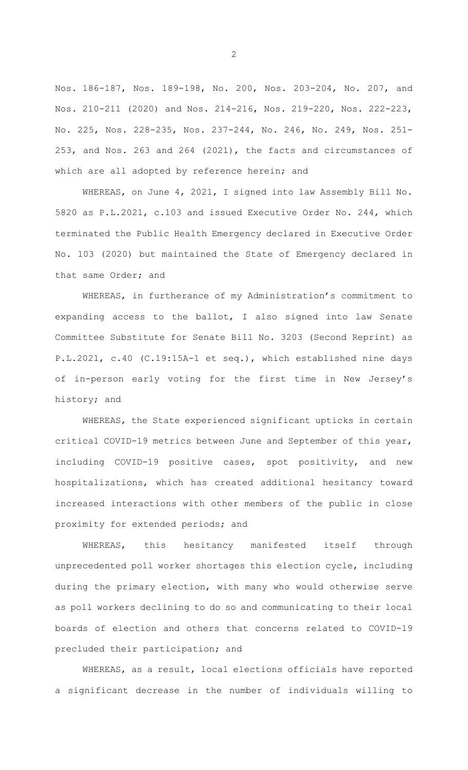Nos. 186-187, Nos. 189-198, No. 200, Nos. 203-204, No. 207, and Nos. 210-211 (2020) and Nos. 214-216, Nos. 219-220, Nos. 222-223, No. 225, Nos. 228-235, Nos. 237-244, No. 246, No. 249, Nos. 251- 253, and Nos. 263 and 264 (2021), the facts and circumstances of which are all adopted by reference herein; and

WHEREAS, on June 4, 2021, I signed into law Assembly Bill No. 5820 as P.L.2021, c.103 and issued Executive Order No. 244, which terminated the Public Health Emergency declared in Executive Order No. 103 (2020) but maintained the State of Emergency declared in that same Order; and

WHEREAS, in furtherance of my Administration's commitment to expanding access to the ballot, I also signed into law Senate Committee Substitute for Senate Bill No. 3203 (Second Reprint) as P.L.2021, c.40 (C.19:15A-1 et seq.), which established nine days of in-person early voting for the first time in New Jersey's history; and

WHEREAS, the State experienced significant upticks in certain critical COVID-19 metrics between June and September of this year, including COVID-19 positive cases, spot positivity, and new hospitalizations, which has created additional hesitancy toward increased interactions with other members of the public in close proximity for extended periods; and

WHEREAS, this hesitancy manifested itself through unprecedented poll worker shortages this election cycle, including during the primary election, with many who would otherwise serve as poll workers declining to do so and communicating to their local boards of election and others that concerns related to COVID-19 precluded their participation; and

WHEREAS, as a result, local elections officials have reported a significant decrease in the number of individuals willing to

2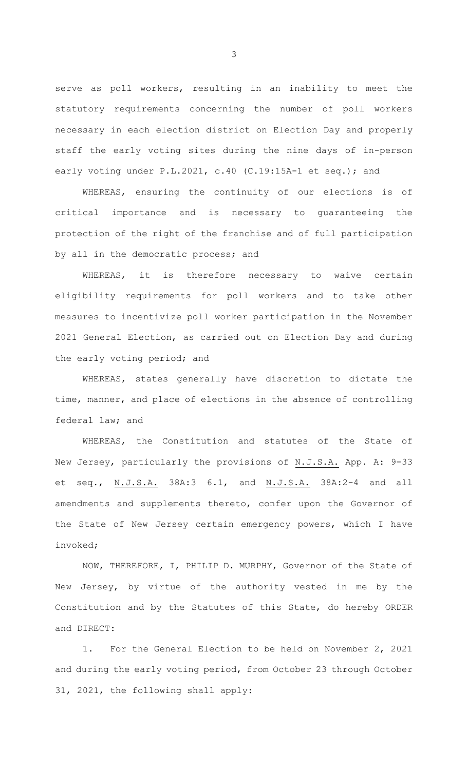serve as poll workers, resulting in an inability to meet the statutory requirements concerning the number of poll workers necessary in each election district on Election Day and properly staff the early voting sites during the nine days of in-person early voting under P.L.2021, c.40 (C.19:15A-1 et seq.); and

WHEREAS, ensuring the continuity of our elections is of critical importance and is necessary to guaranteeing the protection of the right of the franchise and of full participation by all in the democratic process; and

WHEREAS, it is therefore necessary to waive certain eligibility requirements for poll workers and to take other measures to incentivize poll worker participation in the November 2021 General Election, as carried out on Election Day and during the early voting period; and

WHEREAS, states generally have discretion to dictate the time, manner, and place of elections in the absence of controlling federal law; and

WHEREAS, the Constitution and statutes of the State of New Jersey, particularly the provisions of N.J.S.A. App. A: 9-33 et seq., N.J.S.A. 38A:3 6.1, and N.J.S.A. 38A:2-4 and all amendments and supplements thereto, confer upon the Governor of the State of New Jersey certain emergency powers, which I have invoked;

NOW, THEREFORE, I, PHILIP D. MURPHY, Governor of the State of New Jersey, by virtue of the authority vested in me by the Constitution and by the Statutes of this State, do hereby ORDER and DIRECT:

1. For the General Election to be held on November 2, 2021 and during the early voting period, from October 23 through October 31, 2021, the following shall apply:

3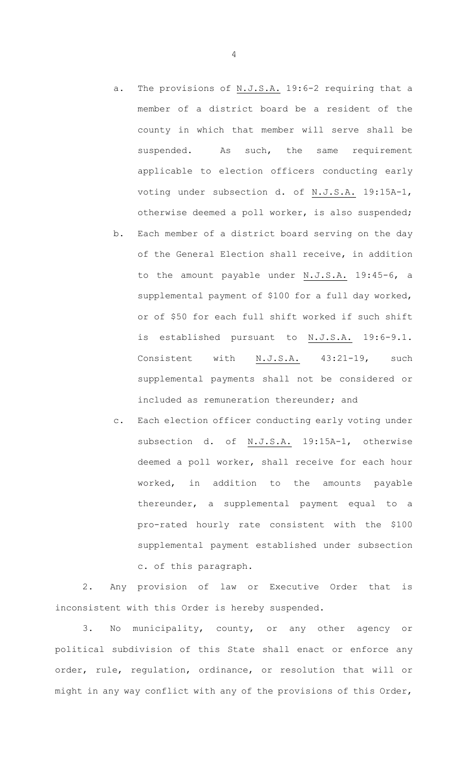a. The provisions of N.J.S.A. 19:6-2 requiring that a member of a district board be a resident of the county in which that member will serve shall be suspended. As such, the same requirement applicable to election officers conducting early

voting under subsection d. of N.J.S.A. 19:15A-1,

- otherwise deemed a poll worker, is also suspended; b. Each member of a district board serving on the day of the General Election shall receive, in addition to the amount payable under N.J.S.A. 19:45-6, a supplemental payment of \$100 for a full day worked, or of \$50 for each full shift worked if such shift is established pursuant to N.J.S.A. 19:6-9.1. Consistent with N.J.S.A. 43:21-19, such supplemental payments shall not be considered or included as remuneration thereunder; and
- c. Each election officer conducting early voting under subsection d. of N.J.S.A. 19:15A-1, otherwise deemed a poll worker, shall receive for each hour worked, in addition to the amounts payable thereunder, a supplemental payment equal to a pro-rated hourly rate consistent with the \$100 supplemental payment established under subsection c. of this paragraph.

2. Any provision of law or Executive Order that is inconsistent with this Order is hereby suspended.

3. No municipality, county, or any other agency or political subdivision of this State shall enact or enforce any order, rule, regulation, ordinance, or resolution that will or might in any way conflict with any of the provisions of this Order,